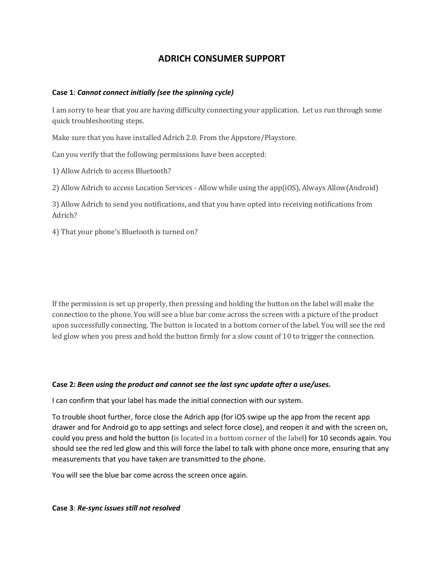# **ADRICH CONSUMER SUPPORT**

## **Case 1**: *Cannot connect initially (see the spinning cycle)*

I am sorry to hear that you are having difficulty connecting your application. Let us run through some quick troubleshooting steps.

Make sure that you have installed Adrich 2.0. From the Appstore/Playstore.

Can you verify that the following permissions have been accepted:

1) Allow Adrich to access Bluetooth?

2) Allow Adrich to access Location Services - Allow while using the app(iOS), Always Allow(Android)

3) Allow Adrich to send you notifications, and that you have opted into receiving notifications from Adrich?

4) That your phone's Bluetooth is turned on?

If the permission is set up properly, then pressing and holding the button on the label will make the connection to the phone. You will see a blue bar come across the screen with a picture of the product upon successfully connecting. The button is located in a bottom corner of the label. You will see the red led glow when you press and hold the button firmly for a slow count of 10 to trigger the connection.

#### **Case 2:** *Been using the product and cannot see the last sync update after a use/uses.*

I can confirm that your label has made the initial connection with our system.

To trouble shoot further, force close the Adrich app (for iOS swipe up the app from the recent app drawer and for Android go to app settings and select force close), and reopen it and with the screen on, could you press and hold the button (is located in a bottom corner of the label) for 10 seconds again. You should see the red led glow and this will force the label to talk with phone once more, ensuring that any measurements that you have taken are transmitted to the phone.

You will see the blue bar come across the screen once again.

**Case 3**: *Re-sync issues still not resolved*